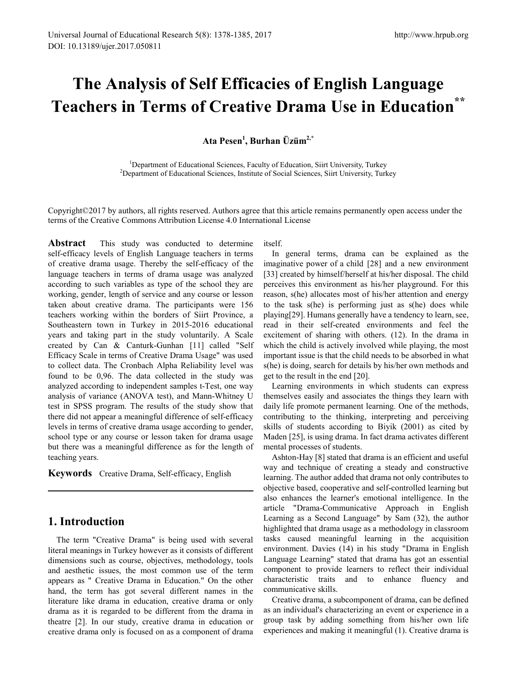# **The Analysis of Self Efficacies of English Language Teachers in Terms of Creative Drama Use in Education\*\***

**Ata Pesen1 , Burhan Üzüm2,\***

<sup>1</sup>Department of Educational Sciences, Faculty of Education, Siirt University, Turkey <sup>2</sup>Department of Educational Sciences, Institute of Social Sciences, Siirt University, Turkey

Copyright©2017 by authors, all rights reserved. Authors agree that this article remains permanently open access under the terms of the Creative Commons Attribution License 4.0 International License

**Abstract** This study was conducted to determine self-efficacy levels of English Language teachers in terms of creative drama usage. Thereby the self-efficacy of the language teachers in terms of drama usage was analyzed according to such variables as type of the school they are working, gender, length of service and any course or lesson taken about creative drama. The participants were 156 teachers working within the borders of Siirt Province, a Southeastern town in Turkey in 2015-2016 educational years and taking part in the study voluntarily. A Scale created by Can & Canturk-Gunhan [11] called "Self Efficacy Scale in terms of Creative Drama Usage" was used to collect data. The Cronbach Alpha Reliability level was found to be 0,96. The data collected in the study was analyzed according to independent samples t-Test, one way analysis of variance (ANOVA test), and Mann-Whitney U test in SPSS program. The results of the study show that there did not appear a meaningful difference of self-efficacy levels in terms of creative drama usage according to gender, school type or any course or lesson taken for drama usage but there was a meaningful difference as for the length of teaching years.

**Keywords** Creative Drama, Self-efficacy, English

# **1. Introduction**

The term "Creative Drama" is being used with several literal meanings in Turkey however as it consists of different dimensions such as course, objectives, methodology, tools and aesthetic issues, the most common use of the term appears as " Creative Drama in Education." On the other hand, the term has got several different names in the literature like drama in education, creative drama or only drama as it is regarded to be different from the drama in theatre [2]. In our study, creative drama in education or creative drama only is focused on as a component of drama itself.

In general terms, drama can be explained as the imaginative power of a child [28] and a new environment [33] created by himself/herself at his/her disposal. The child perceives this environment as his/her playground. For this reason, s(he) allocates most of his/her attention and energy to the task s(he) is performing just as s(he) does while playing[29]. Humans generally have a tendency to learn, see, read in their self-created environments and feel the excitement of sharing with others. (12). In the drama in which the child is actively involved while playing, the most important issue is that the child needs to be absorbed in what s(he) is doing, search for details by his/her own methods and get to the result in the end [20].

Learning environments in which students can express themselves easily and associates the things they learn with daily life promote permanent learning. One of the methods, contributing to the thinking, interpreting and perceiving skills of students according to Biyik (2001) as cited by Maden [25], is using drama. In fact drama activates different mental processes of students.

Ashton-Hay [8] stated that drama is an efficient and useful way and technique of creating a steady and constructive learning. The author added that drama not only contributes to objective based, cooperative and self-controlled learning but also enhances the learner's emotional intelligence. In the article "Drama-Communicative Approach in English Learning as a Second Language" by Sam (32), the author highlighted that drama usage as a methodology in classroom tasks caused meaningful learning in the acquisition environment. Davies (14) in his study "Drama in English Language Learning" stated that drama has got an essential component to provide learners to reflect their individual characteristic traits and to enhance fluency and communicative skills.

Creative drama, a subcomponent of drama, can be defined as an individual's characterizing an event or experience in a group task by adding something from his/her own life experiences and making it meaningful (1). Creative drama is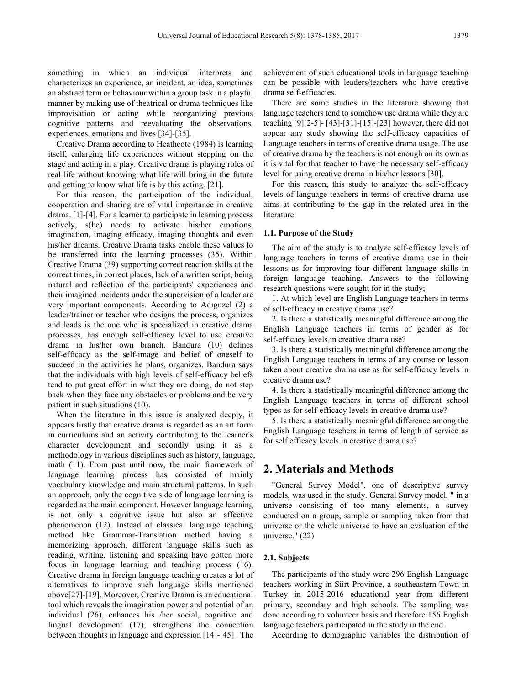something in which an individual interprets and characterizes an experience, an incident, an idea, sometimes an abstract term or behaviour within a group task in a playful manner by making use of theatrical or drama techniques like improvisation or acting while reorganizing previous cognitive patterns and reevaluating the observations, experiences, emotions and lives [34]-[35].

Creative Drama according to Heathcote (1984) is learning itself, enlarging life experiences without stepping on the stage and acting in a play. Creative drama is playing roles of real life without knowing what life will bring in the future and getting to know what life is by this acting. [21].

For this reason, the participation of the individual, cooperation and sharing are of vital importance in creative drama. [1]-[4]. For a learner to participate in learning process actively, s(he) needs to activate his/her emotions, imagination, imaging efficacy, imaging thoughts and even his/her dreams. Creative Drama tasks enable these values to be transferred into the learning processes (35). Within Creative Drama (39) supporting correct reaction skills at the correct times, in correct places, lack of a written script, being natural and reflection of the participants' experiences and their imagined incidents under the supervision of a leader are very important components. According to Adıguzel (2) a leader/trainer or teacher who designs the process, organizes and leads is the one who is specialized in creative drama processes, has enough self-efficacy level to use creative drama in his/her own branch. Bandura (10) defines self-efficacy as the self-image and belief of oneself to succeed in the activities he plans, organizes. Bandura says that the individuals with high levels of self-efficacy beliefs tend to put great effort in what they are doing, do not step back when they face any obstacles or problems and be very patient in such situations (10).

When the literature in this issue is analyzed deeply, it appears firstly that creative drama is regarded as an art form in curriculums and an activity contributing to the learner's character development and secondly using it as a methodology in various disciplines such as history, language, math (11). From past until now, the main framework of language learning process has consisted of mainly vocabulary knowledge and main structural patterns. In such an approach, only the cognitive side of language learning is regarded as the main component. However language learning is not only a cognitive issue but also an affective phenomenon (12). Instead of classical language teaching method like Grammar-Translation method having a memorizing approach, different language skills such as reading, writing, listening and speaking have gotten more focus in language learning and teaching process (16). Creative drama in foreign language teaching creates a lot of alternatives to improve such language skills mentioned above[27]-[19]. Moreover, Creative Drama is an educational tool which reveals the imagination power and potential of an individual (26), enhances his /her social, cognitive and lingual development (17), strengthens the connection between thoughts in language and expression [14]-[45] . The

achievement of such educational tools in language teaching can be possible with leaders/teachers who have creative drama self-efficacies.

There are some studies in the literature showing that language teachers tend to somehow use drama while they are teaching [9][2-5]- [43]-[31]-[15]-[23] however, there did not appear any study showing the self-efficacy capacities of Language teachers in terms of creative drama usage. The use of creative drama by the teachers is not enough on its own as it is vital for that teacher to have the necessary self-efficacy level for using creative drama in his/her lessons [30].

For this reason, this study to analyze the self-efficacy levels of language teachers in terms of creative drama use aims at contributing to the gap in the related area in the literature.

#### **1.1. Purpose of the Study**

The aim of the study is to analyze self-efficacy levels of language teachers in terms of creative drama use in their lessons as for improving four different language skills in foreign language teaching. Answers to the following research questions were sought for in the study;

1. At which level are English Language teachers in terms of self-efficacy in creative drama use?

2. Is there a statistically meaningful difference among the English Language teachers in terms of gender as for self-efficacy levels in creative drama use?

3. Is there a statistically meaningful difference among the English Language teachers in terms of any course or lesson taken about creative drama use as for self-efficacy levels in creative drama use?

4. Is there a statistically meaningful difference among the English Language teachers in terms of different school types as for self-efficacy levels in creative drama use?

5. Is there a statistically meaningful difference among the English Language teachers in terms of length of service as for self efficacy levels in creative drama use?

## **2. Materials and Methods**

"General Survey Model", one of descriptive survey models, was used in the study. General Survey model, " in a universe consisting of too many elements, a survey conducted on a group, sample or sampling taken from that universe or the whole universe to have an evaluation of the universe." (22)

#### **2.1. Subjects**

The participants of the study were 296 English Language teachers working in Siirt Province, a southeastern Town in Turkey in 2015-2016 educational year from different primary, secondary and high schools. The sampling was done according to volunteer basis and therefore 156 English language teachers participated in the study in the end.

According to demographic variables the distribution of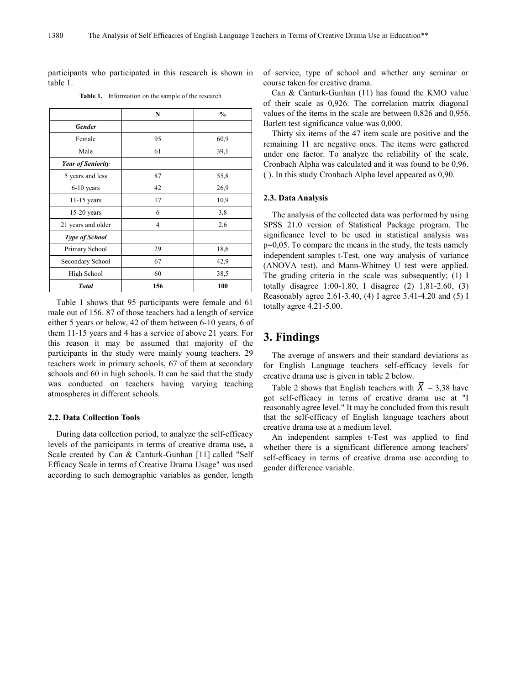participants who participated in this research is shown in table 1.

|                          | N   | $\frac{0}{0}$ |
|--------------------------|-----|---------------|
| <b>Gender</b>            |     |               |
| Female                   | 95  | 60,9          |
| Male                     | 61  | 39,1          |
| <b>Year of Seniority</b> |     |               |
| 5 years and less         | 87  | 55,8          |
| 6-10 years               | 42  | 26,9          |
| $11-15$ years            | 17  | 10,9          |
| $15-20$ years            | 6   | 3,8           |
| 21 years and older       | 4   | 2,6           |
| <b>Type of School</b>    |     |               |
| Primary School           | 29  | 18,6          |
| Secondary School         | 67  | 42,9          |
| High School              | 60  | 38,5          |
| <b>Total</b>             | 156 | 100           |

**Table 1.** Information on the sample of the research

Table 1 shows that 95 participants were female and 61 male out of 156. 87 of those teachers had a length of service either 5 years or below, 42 of them between 6-10 years, 6 of them 11-15 years and 4 has a service of above 21 years. For this reason it may be assumed that majority of the participants in the study were mainly young teachers. 29 teachers work in primary schools, 67 of them at secondary schools and 60 in high schools. It can be said that the study was conducted on teachers having varying teaching atmospheres in different schools.

#### **2.2. Data Collection Tools**

During data collection period, to analyze the self-efficacy levels of the participants in terms of creative drama use**,** a Scale created by Can & Canturk-Gunhan [11] called "Self Efficacy Scale in terms of Creative Drama Usage" was used according to such demographic variables as gender, length

of service, type of school and whether any seminar or course taken for creative drama.

Can & Canturk-Gunhan (11) has found the KMO value of their scale as 0,926. The correlation matrix diagonal values of the items in the scale are between 0,826 and 0,956. Barlett test significance value was 0,000.

Thirty six items of the 47 item scale are positive and the remaining 11 are negative ones. The items were gathered under one factor. To analyze the reliability of the scale, Cronbach Alpha was calculated and it was found to be 0,96. ( ). In this study Cronbach Alpha level appeared as 0,90.

#### **2.3. Data Analysis**

The analysis of the collected data was performed by using SPSS 21.0 version of Statistical Package program. The significance level to be used in statistical analysis was p=0,05. To compare the means in the study, the tests namely independent samples t-Test, one way analysis of variance (ANOVA test), and Mann-Whitney U test were applied. The grading criteria in the scale was subsequently; (1) I totally disagree 1:00-1.80, I disagree (2) 1,81-2.60, (3) Reasonably agree 2.61-3.40, (4) I agree 3.41-4.20 and (5) I totally agree 4.21-5.00.

# **3. Findings**

The average of answers and their standard deviations as for English Language teachers self-efficacy levels for creative drama use is given in table 2 below.

Table 2 shows that English teachers with  $\bar{X} = 3.38$  have got self-efficacy in terms of creative drama use at "I reasonably agree level." It may be concluded from this result that the self-efficacy of English language teachers about creative drama use at a medium level.

An independent samples t-Test was applied to find whether there is a significant difference among teachers' self-efficacy in terms of creative drama use according to gender difference variable.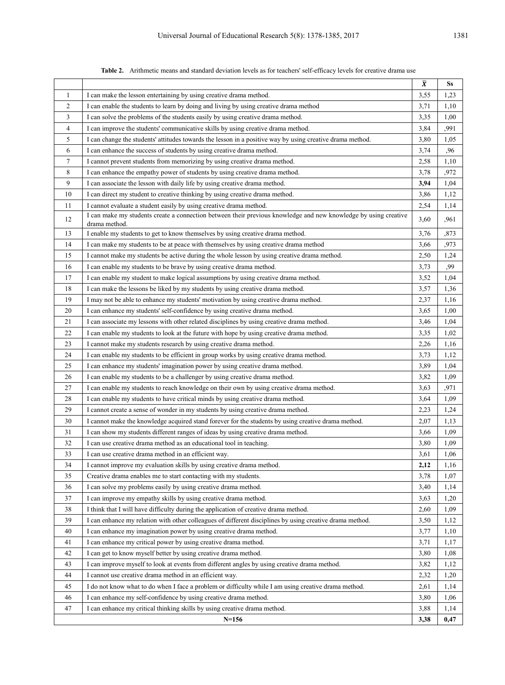|                |                                                                                                                                  | $\overline{\pmb{X}}$ | Ss   |
|----------------|----------------------------------------------------------------------------------------------------------------------------------|----------------------|------|
| $\mathbf{1}$   | I can make the lesson entertaining by using creative drama method.                                                               | 3,55                 | 1,23 |
| 2              | I can enable the students to learn by doing and living by using creative drama method                                            | 3,71                 | 1,10 |
| 3              | I can solve the problems of the students easily by using creative drama method.                                                  | 3,35                 | 1,00 |
| $\overline{4}$ | I can improve the students' communicative skills by using creative drama method.                                                 | 3,84                 | ,991 |
| 5              | I can change the students' attitudes towards the lesson in a positive way by using creative drama method.                        | 3,80                 | 1,05 |
| 6              | I can enhance the success of students by using creative drama method.                                                            | 3,74                 | ,96  |
| 7              | I cannot prevent students from memorizing by using creative drama method.                                                        | 2,58                 | 1,10 |
| 8              | I can enhance the empathy power of students by using creative drama method.                                                      | 3,78                 | ,972 |
| 9              | I can associate the lesson with daily life by using creative drama method.                                                       | 3,94                 | 1,04 |
| 10             | I can direct my student to creative thinking by using creative drama method.                                                     | 3,86                 | 1,12 |
| 11             | I cannot evaluate a student easily by using creative drama method.                                                               | 2,54                 | 1,14 |
| 12             | I can make my students create a connection between their previous knowledge and new knowledge by using creative<br>drama method. | 3,60                 | ,961 |
| 13             | I enable my students to get to know themselves by using creative drama method.                                                   | 3,76                 | ,873 |
| 14             | I can make my students to be at peace with themselves by using creative drama method                                             | 3,66                 | ,973 |
| 15             | I cannot make my students be active during the whole lesson by using creative drama method.                                      | 2,50                 | 1,24 |
| 16             | I can enable my students to be brave by using creative drama method.                                                             | 3,73                 | ,99  |
| 17             | I can enable my student to make logical assumptions by using creative drama method.                                              | 3,52                 | 1,04 |
| 18             | I can make the lessons be liked by my students by using creative drama method.                                                   | 3,57                 | 1,36 |
| 19             | I may not be able to enhance my students' motivation by using creative drama method.                                             | 2,37                 | 1,16 |
| 20             | I can enhance my students' self-confidence by using creative drama method.                                                       | 3,65                 | 1,00 |
| 21             | I can associate my lessons with other related disciplines by using creative drama method.                                        | 3,46                 | 1,04 |
| 22             | I can enable my students to look at the future with hope by using creative drama method.                                         | 3,35                 | 1,02 |
| 23             | I cannot make my students research by using creative drama method.                                                               | 2,26                 | 1,16 |
| 24             | I can enable my students to be efficient in group works by using creative drama method.                                          | 3,73                 | 1,12 |
| 25             | I can enhance my students' imagination power by using creative drama method.                                                     | 3,89                 | 1,04 |
| 26             | I can enable my students to be a challenger by using creative drama method.                                                      | 3,82                 | 1,09 |
| 27             | I can enable my students to reach knowledge on their own by using creative drama method.                                         | 3,63                 | ,971 |
| 28             | I can enable my students to have critical minds by using creative drama method.                                                  | 3,64                 | 1,09 |
| 29             | I cannot create a sense of wonder in my students by using creative drama method.                                                 | 2,23                 | 1,24 |
| 30             | I cannot make the knowledge acquired stand forever for the students by using creative drama method.                              | 2,07                 | 1,13 |
| 31             | I can show my students different ranges of ideas by using creative drama method.                                                 | 3,66                 | 1,09 |
| 32             | I can use creative drama method as an educational tool in teaching.                                                              | 3,80                 | 1,09 |
| 33             | I can use creative drama method in an efficient way.                                                                             | 3,61                 | 1,06 |
| 34             | I cannot improve my evaluation skills by using creative drama method.                                                            | 2,12                 | 1,16 |
| 35             | Creative drama enables me to start contacting with my students.                                                                  | 3,78                 | 1,07 |
| 36             | I can solve my problems easily by using creative drama method.                                                                   | 3,40                 | 1,14 |
| 37             | I can improve my empathy skills by using creative drama method.                                                                  | 3,63                 | 1,20 |
| 38             | I think that I will have difficulty during the application of creative drama method.                                             | 2,60                 | 1,09 |
| 39             | I can enhance my relation with other colleagues of different disciplines by using creative drama method.                         | 3,50                 | 1,12 |
| 40             | I can enhance my imagination power by using creative drama method.                                                               | 3,77                 | 1,10 |
| 41             | I can enhance my critical power by using creative drama method.                                                                  | 3,71                 | 1,17 |
| 42             | I can get to know myself better by using creative drama method.                                                                  | 3,80                 | 1,08 |
| 43             | I can improve myself to look at events from different angles by using creative drama method.                                     | 3,82                 | 1,12 |
| 44             | I cannot use creative drama method in an efficient way.                                                                          | 2,32                 | 1,20 |
| 45             | I do not know what to do when I face a problem or difficulty while I am using creative drama method.                             | 2,61                 | 1,14 |
| 46             | I can enhance my self-confidence by using creative drama method.                                                                 | 3,80                 | 1,06 |
| 47             | I can enhance my critical thinking skills by using creative drama method.                                                        | 3,88                 | 1,14 |
|                | $N=156$                                                                                                                          | 3,38                 | 0,47 |

**Table 2.** Arithmetic means and standard deviation levels as for teachers' self-efficacy levels for creative drama use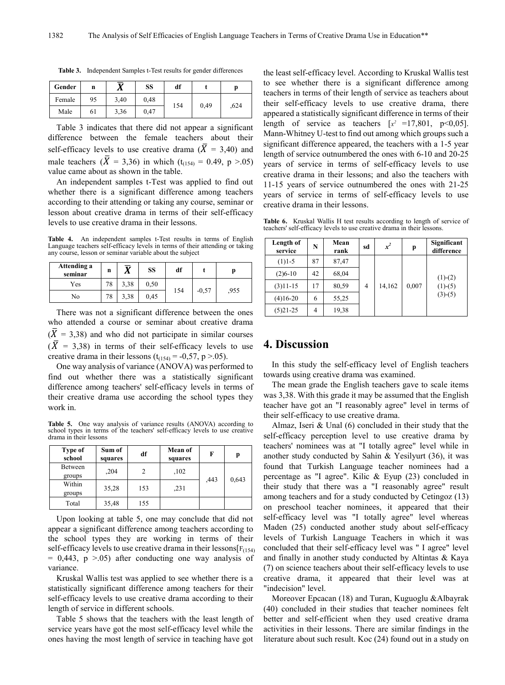| Gender | n  | ᢑ<br>л | SS   | df  |      |      |
|--------|----|--------|------|-----|------|------|
| Female | 95 | 3,40   | 0.48 |     | 0,49 | .624 |
| Male   | 61 | 3,36   | 0.47 | 154 |      |      |

**Table 3.** Independent Samples t-Test results for gender differences

Table 3 indicates that there did not appear a significant difference between the female teachers about their self-efficacy levels to use creative drama  $(X = 3,40)$  and male teachers ( $\bar{X}$  = 3,36) in which (t<sub>(154)</sub> = 0.49, p >.05) value came about as shown in the table.

An independent samples t-Test was applied to find out whether there is a significant difference among teachers according to their attending or taking any course, seminar or lesson about creative drama in terms of their self-efficacy levels to use creative drama in their lessons.

**Table 4.** An independent samples t-Test results in terms of English Language teachers self-efficacy levels in terms of their attending or taking any course, lesson or seminar variable about the subject

| Attending a<br>seminar | n  |      | SS   | df  |         |      |
|------------------------|----|------|------|-----|---------|------|
| Yes                    | 78 | 3.38 | 0.50 |     | $-0,57$ | .955 |
| No                     | 78 | 3.38 | 0.45 | 154 |         |      |

There was not a significant difference between the ones who attended a course or seminar about creative drama  $(\overline{X} = 3.38)$  and who did not participate in similar courses  $(X = 3,38)$  in terms of their self-efficacy levels to use creative drama in their lessons  $(t<sub>(154)</sub> = -0.57, p > 0.05)$ .

One way analysis of variance (ANOVA) was performed to find out whether there was a statistically significant difference among teachers' self-efficacy levels in terms of their creative drama use according the school types they work in.

**Table 5.** One way analysis of variance results (ANOVA) according to school types in terms of the teachers' self-efficacy levels to use creative drama in their lessons

| Type of<br>school | Sum of<br>squares | df  | Mean of<br>squares | F    | p     |
|-------------------|-------------------|-----|--------------------|------|-------|
| Between           | ,204              | 2   | ,102               |      |       |
| groups            |                   |     |                    | .443 | 0,643 |
| Within<br>groups  | 35,28             | 153 | ,231               |      |       |
| Total             | 35,48             | 155 |                    |      |       |

Upon looking at table 5, one may conclude that did not appear a significant difference among teachers according to the school types they are working in terms of their self-efficacy levels to use creative drama in their lessons[ $F(154)$ ]  $= 0.443$ , p  $> 0.05$ ) after conducting one way analysis of variance.

Kruskal Wallis test was applied to see whether there is a statistically significant difference among teachers for their self-efficacy levels to use creative drama according to their length of service in different schools.

Table 5 shows that the teachers with the least length of service years have got the most self-efficacy level while the ones having the most length of service in teaching have got

the least self-efficacy level. According to Kruskal Wallis test to see whether there is a significant difference among teachers in terms of their length of service as teachers about their self-efficacy levels to use creative drama, there appeared a statistically significant difference in terms of their length of service as teachers  $[x^2 = 17,801, p<0.05]$ . Mann-Whitney U-test to find out among which groups such a significant difference appeared, the teachers with a 1-5 year length of service outnumbered the ones with 6-10 and 20-25 years of service in terms of self-efficacy levels to use creative drama in their lessons; and also the teachers with 11-15 years of service outnumbered the ones with 21-25 years of service in terms of self-efficacy levels to use creative drama in their lessons.

**Table 6.** Kruskal Wallis H test results according to length of service of teachers' self-efficacy levels to use creative drama in their lessons.

| Length of<br>service | N  | Mean<br>rank | sd | $x^2$  | p     | Significant<br>difference |
|----------------------|----|--------------|----|--------|-------|---------------------------|
| $(1)1-5$             | 87 | 87,47        |    |        |       |                           |
| $(2)6-10$            | 42 | 68,04        |    |        |       | $(1)-(2)$                 |
| $(3)11-15$           | 17 | 80,59        | 4  | 14,162 | 0,007 | $(1)-(5)$                 |
| $(4)16-20$           | 6  | 55,25        |    |        |       | $(3)-(5)$                 |
| $(5)$ 21-25          | 4  | 19,38        |    |        |       |                           |

## **4. Discussion**

In this study the self-efficacy level of English teachers towards using creative drama was examined.

The mean grade the English teachers gave to scale items was 3,38. With this grade it may be assumed that the English teacher have got an "I reasonably agree" level in terms of their self-efficacy to use creative drama.

Almaz, Iseri & Unal (6) concluded in their study that the self-efficacy perception level to use creative drama by teachers' nominees was at "I totally agree" level while in another study conducted by Sahin & Yesilyurt (36), it was found that Turkish Language teacher nominees had a percentage as "I agree". Kilic & Eyup (23) concluded in their study that there was a "I reasonably agree" result among teachers and for a study conducted by Cetingoz (13) on preschool teacher nominees, it appeared that their self-efficacy level was "I totally agree" level whereas Maden (25) conducted another study about self-efficacy levels of Turkish Language Teachers in which it was concluded that their self-efficacy level was " I agree" level and finally in another study conducted by Altintas & Kaya (7) on science teachers about their self-efficacy levels to use creative drama, it appeared that their level was at "indecision" level.

Moreover Epcacan (18) and Turan, Kuguoglu &Albayrak (40) concluded in their studies that teacher nominees felt better and self-efficient when they used creative drama activities in their lessons. There are similar findings in the literature about such result. Koc (24) found out in a study on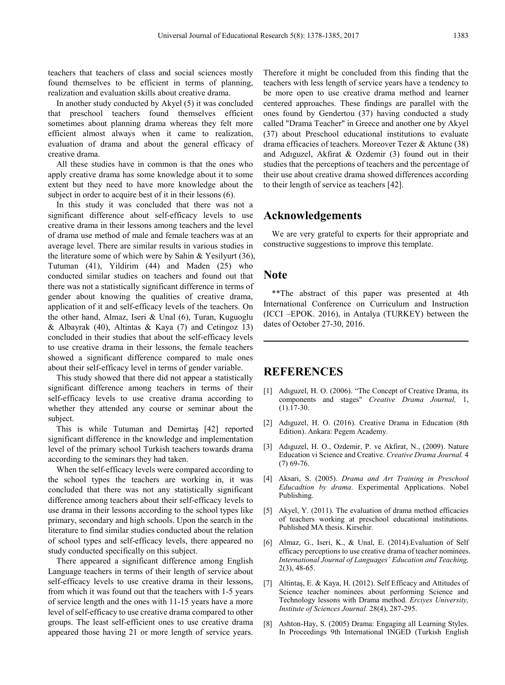teachers that teachers of class and social sciences mostly found themselves to be efficient in terms of planning, realization and evaluation skills about creative drama.

In another study conducted by Akyel (5) it was concluded that preschool teachers found themselves efficient sometimes about planning drama whereas they felt more efficient almost always when it came to realization, evaluation of drama and about the general efficacy of creative drama.

All these studies have in common is that the ones who apply creative drama has some knowledge about it to some extent but they need to have more knowledge about the subject in order to acquire best of it in their lessons  $(6)$ .

In this study it was concluded that there was not a significant difference about self-efficacy levels to use creative drama in their lessons among teachers and the level of drama use method of male and female teachers was at an average level. There are similar results in various studies in the literature some of which were by Sahin & Yesilyurt (36), Tutuman (41), Yildirim (44) and Maden (25) who conducted similar studies on teachers and found out that there was not a statistically significant difference in terms of gender about knowing the qualities of creative drama, application of it and self-efficacy levels of the teachers. On the other hand, Almaz, Iseri & Unal (6), Turan, Kuguoglu & Albayrak (40), Altintas & Kaya (7) and Cetingoz 13) concluded in their studies that about the self-efficacy levels to use creative drama in their lessons, the female teachers showed a significant difference compared to male ones about their self-efficacy level in terms of gender variable.

This study showed that there did not appear a statistically significant difference among teachers in terms of their self-efficacy levels to use creative drama according to whether they attended any course or seminar about the subject.

This is while Tutuman and Demirtaş [42] reported significant difference in the knowledge and implementation level of the primary school Turkish teachers towards drama according to the seminars they had taken.

When the self-efficacy levels were compared according to the school types the teachers are working in, it was concluded that there was not any statistically significant difference among teachers about their self-efficacy levels to use drama in their lessons according to the school types like primary, secondary and high schools. Upon the search in the literature to find similar studies conducted about the relation of school types and self-efficacy levels, there appeared no study conducted specifically on this subject.

There appeared a significant difference among English Language teachers in terms of their length of service about self-efficacy levels to use creative drama in their lessons, from which it was found out that the teachers with 1-5 years of service length and the ones with 11-15 years have a more level of self-efficacy to use creative drama compared to other groups. The least self-efficient ones to use creative drama appeared those having 21 or more length of service years.

Therefore it might be concluded from this finding that the teachers with less length of service years have a tendency to be more open to use creative drama method and learner centered approaches. These findings are parallel with the ones found by Gendertou (37) having conducted a study called "Drama Teacher" in Greece and another one by Akyel (37) about Preschool educational institutions to evaluate drama efficacies of teachers. Moreover Tezer & Aktunc (38) and Adıguzel, Akfirat & Ozdemir (3) found out in their studies that the perceptions of teachers and the percentage of their use about creative drama showed differences according to their length of service as teachers [42].

# **Acknowledgements**

We are very grateful to experts for their appropriate and constructive suggestions to improve this template.

### **Note**

\*\*The abstract of this paper was presented at 4th International Conference on Curriculum and Instruction (ICCI –EPOK. 2016), in Antalya (TURKEY) between the dates of October 27-30, 2016.

## **REFERENCES**

- [1] Adıguzel, H. O. (2006). "The Concept of Creative Drama, its components and stages" *Creative Drama Journal,* 1,  $(1).17-30.$
- [2] Adıguzel, H. O. (2016). Creative Drama in Education (8th Edition). Ankara: Pegem Academy.
- [3] Adıguzel, H. O., Ozdemir, P. ve Akfirat, N., (2009). Nature Education vi Science and Creative. *Creative Drama Journal.* 4 (7) 69-76.
- [4] Aksari, S. (2005). *Drama and Art Training in Preschool Educadtion by drama*. Experimental Applications. Nobel Publishing.
- [5] Akyel, Y. (2011). The evaluation of drama method efficacies of teachers working at preschool educational institutions. Published MA thesis. Kirsehir.
- [6] Almaz, G., Iseri, K., & Unal, E. (2014).Evaluation of Self efficacy perceptions to use creative drama of teacher nominees. *International Journal of Languages' Education and Teaching,* 2(3), 48-65.
- [7] Altintaş, E. & Kaya, H. (2012). Self Efficacy and Attitudes of Science teacher nominees about performing Science and Technology lessons with Drama method. *Erciyes University, Institute of Sciences Journal.* 28(4), 287-295.
- [8] Ashton-Hay, S. (2005) Drama: Engaging all Learning Styles. In Proceedings 9th International INGED (Turkish English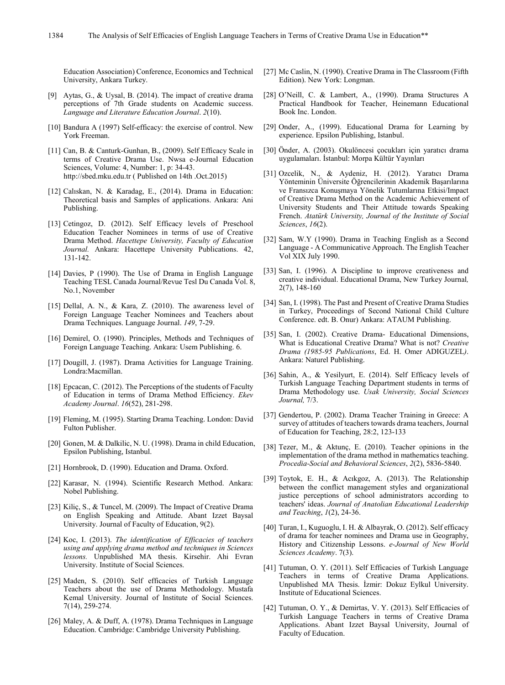Education Association) Conference, Economics and Technical University, Ankara Turkey.

- [9] Aytas, G., & Uysal, B. (2014). The impact of creative drama perceptions of 7th Grade students on Academic success. *Language and Literature Education Journal*. *2*(10).
- [10] Bandura A (1997) Self-efficacy: the exercise of control. New York Freeman.
- [11] Can, B. & Canturk-Gunhan, B., (2009). Self Efficacy Scale in terms of Creative Drama Use. Nwsa e-Journal Education Sciences, Volume: 4, Number: 1, p: 34-43. http://sbed.mku.edu.tr ( Published on 14th .Oct.2015)
- [12] Calıskan, N. & Karadag, E., (2014). Drama in Education: Theoretical basis and Samples of applications. Ankara: Ani Publishing.
- [13] Cetingoz, D. (2012). Self Efficacy levels of Preschool Education Teacher Nominees in terms of use of Creative Drama Method. *Hacettepe University, Faculty of Education Journal.* Ankara: Hacettepe University Publications. 42, 131-142.
- [14] Davies, P (1990). The Use of Drama in English Language Teaching TESL Canada Journal/Revue Tesl Du Canada Vol. 8, No.1, November
- [15] Dellal, A. N., & Kara, Z. (2010). The awareness level of Foreign Language Teacher Nominees and Teachers about Drama Techniques. Language Journal. *149*, 7-29.
- [16] Demirel, O. (1990). Principles, Methods and Techniques of Foreign Language Teaching. Ankara: Usem Publishing. 6.
- [17] Dougill, J. (1987). Drama Activities for Language Training. Londra:Macmillan.
- [18] Epcacan, C. (2012). The Perceptions of the students of Faculty of Education in terms of Drama Method Efficiency. *Ekev Academy Journal*. *16*(52), 281-298.
- [19] Fleming, M. (1995). Starting Drama Teaching. London: David Fulton Publisher.
- [20] Gonen, M. & Dalkilic, N. U. (1998). Drama in child Education, Epsilon Publishing, Istanbul.
- [21] Hornbrook, D. (1990). Education and Drama. Oxford.
- [22] Karasar, N. (1994). Scientific Research Method. Ankara: Nobel Publishing.
- [23] Kiliç, S., & Tuncel, M. (2009). The Impact of Creative Drama on English Speaking and Attitude. Abant Izzet Baysal University. Journal of Faculty of Education, 9(2).
- [24] Koc, I. (2013). *The identification of Efficacies of teachers using and applying drama method and techniques in Sciences lessons.* Unpublished MA thesis. Kirsehir. Ahi Evran University. Institute of Social Sciences.
- [25] Maden, S. (2010). Self efficacies of Turkish Language Teachers about the use of Drama Methodology. Mustafa Kemal University. Journal of Institute of Social Sciences. 7(14), 259-274.
- [26] Maley, A. & Duff, A. (1978). Drama Techniques in Language Education. Cambridge: Cambridge University Publishing.
- [27] Mc Caslin, N. (1990). Creative Drama in The Classroom (Fifth Edition). New York: Longman.
- [28] O'Neill, C. & Lambert, A., (1990). Drama Structures A Practical Handbook for Teacher, Heinemann Educational Book Inc. London.
- [29] Onder, A., (1999). Educational Drama for Learning by experience. Epsilon Publishing, Istanbul.
- [30] Önder, A. (2003). Okulöncesi çocukları için yaratıcı drama uygulamaları. İstanbul: Morpa Kültür Yayınları
- [31] Ozcelik, N., & Aydeniz, H. (2012). Yaratıcı Drama Yönteminin Üniversite Öğrencilerinin Akademik Başarılarına ve Fransızca Konuşmaya Yönelik Tutumlarına Etkisi/Impact of Creative Drama Method on the Academic Achievement of University Students and Their Attitude towards Speaking French. *Atatürk University, Journal of the Institute of Social Sciences*, *16*(2).
- [32] Sam, W.Y (1990). Drama in Teaching English as a Second Language - A Communicative Approach. The English Teacher Vol XIX July 1990.
- [33] San, I. (1996). A Discipline to improve creativeness and creative individual. Educational Drama, New Turkey Journal*,* 2(7), 148-160
- [34] San, I. (1998). The Past and Present of Creative Drama Studies in Turkey, Proceedings of Second National Child Culture Conference. edt. B. Onur) Ankara: ATAUM Publishing.
- [35] San, I. (2002). Creative Drama- Educational Dimensions, What is Educational Creative Drama? What is not? *Creative Drama (1985-95 Publications*, Ed. H. Omer ADIGUZEL*)*. Ankara: Naturel Publishing.
- [36] Sahin, A., & Yesilyurt, E. (2014). Self Efficacy levels of Turkish Language Teaching Department students in terms of Drama Methodology use. *Usak University, Social Sciences Journal,* 7/3.
- [37] Gendertou, P. (2002). Drama Teacher Training in Greece: A survey of attitudes of teachers towards drama teachers, Journal of Education for Teaching, 28:2, 123-133
- [38] Tezer, M., & Aktunc, E. (2010). Teacher opinions in the implementation of the drama method in mathematics teaching. *Procedia-Social and Behavioral Sciences*, *2*(2), 5836-5840.
- [39] Toytok, E. H., & Acıkgoz, A. (2013). The Relationship between the conflict management styles and organizational justice perceptions of school administrators according to teachers' ideas. *Journal of Anatolian Educational Leadership and Teaching*, *1*(2), 24-36.
- [40] Turan, I., Kuguoglu, I. H. & Albayrak, O. (2012). Self efficacy of drama for teacher nominees and Drama use in Geography, History and Citizenship Lessons. *e-Journal of New World Sciences Academy*. 7(3).
- [41] Tutuman, O. Y. (2011). Self Efficacies of Turkish Language Teachers in terms of Creative Drama Applications. Unpublished MA Thesis. İzmir: Dokuz Eylkul University. Institute of Educational Sciences.
- [42] Tutuman, O. Y., & Demirtas, V. Y. (2013). Self Efficacies of Turkish Language Teachers in terms of Creative Drama Applications. Abant Izzet Baysal University, Journal of Faculty of Education.